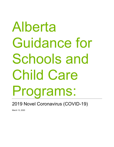# Alberta Guidance for Schools and Child Care Programs:

2019 Novel Coronavirus (COVID-19)

March 13, 2020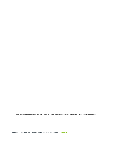**This guidance has been adapted with permission from the British Columbia Office of the Provincial Health Officer.**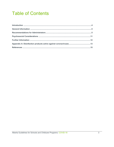## **Table of Contents**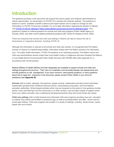## <span id="page-3-0"></span>Introduction

The guidance provided in this document will support the school system and childcare administrators to reduce opportunities for transmission of COVID-19 in schools and childcare settings. This guidance is based on current available scientific evidence and expert opinion and is subject to change as new information on COVID-19 becomes available. For up to date information regarding the situation in Alberta, *visi[t COVID-19 Info for Albertans](https://www.alberta.ca/coronavirus-info-for-albertans.aspx)* (<https://www.alberta.ca/coronavirus-info-for-albertans.aspx>). This guidance is based on national guidance for schools and child care programs (Public Health Agency of Canada, 2020), and other school-related jurisdictional guidance (BC Centre for Disease Control, 2020).

There are measures that schools and child care settings in Alberta can take to reduce the risk of transmission of respiratory illnesses, including COVID-19.

Although this information is relevant to all schools and child care centres, it is recognized that First Nation schools on reserve is a federal responsibility, information shared with First Nation schools is for information only. For public health information, COVID-19 questions or for reporting purposes, First Nation school and child care administrators should contact their local Health Centre or Indigenous Services Canada-First Nations or Inuit Health Branch Environmental Public Health Services (ISC-FNIHB) office (See Appendix A), in accordance with normal practice.

Medical Officers of Health (MOHs) and their designates are available to support schools and child care settings throughout the province. Their role is to undertake communicable disease risk assessments and provide guidance on risk management. If you have concerns, need specific guidance, or have questions about how to apply the measures in this document, please contact Public Health in your Zone for assistance (see **Appendix B**).

**Schools** refer to public, separate, francophone, charter schools, independent (private) school authorities, independent (private) Early Childhood Services (ECS), online/distance education, and First Nations education authorities. School-based activities which may be impacted by the advice in this guidance include sports, music and field trips into the community or to other schools, care provided outside of regular school hours (e.g. before and after care), professional development/activity days and school break day camps.

**Child care settings** refer to both licensed and unlicensed child care programs providing care and education to children from infants and toddlers to preschool age, as well as providing before and after school care for school age children. Child care programs are located in a variety of settings, including family homes, centrebased care and schools.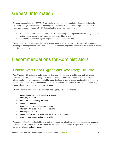## General Information

Symptoms associated with COVID-19 are similar to many common respiratory illnesses that may be circulating through schools/child care settings. The two most important ways to prevent and control respiratory viruses, including COVID-19, in schools and child care settings are:

- For students/children and staff who are ill with respiratory illness symptoms (fever, cough, fatigue, and/or muscle aches) to stay home from school/child care, and
- The consistent practice of good respiratory etiquette and hand hygiene.

Students with a confirmed case of COVID-19 must receive clearance from public health officials before returning to school; students with a non COVID-19 or unknown respiratory illness should not return to school until 14 days after symptom onset.

## Recommendations for Administrators

#### Enforce Strict Hand Hygiene and Respiratory Etiquette

*[Hand hygiene](https://www.canada.ca/en/public-health/services/healthy-living/hand-hygiene.html)* with plain soap and warm water is preferred in schools and child care settings as the mechanical action of hand washing is effective at removing visible soil as well as microbes. In instances where hand washing sinks are not available, supervised use of alcohol-based hand sanitizers containing at least 60% alcohol may be considered. If hands are visibly soiled, alcohol based hand sanitizers may not be effective at eliminating respiratory viruses.

Students/children and adults in the child care setting should clean their hands:

- before leaving home and on arrival at school
- after using the toilet
- after breaks and sporting activities
- before food preparation
- before eating any food, including snacks
- after contact with saliva or nasal secretions
- after diapering a child
- before using shared materials such as arts and craft supplies
- before leaving school and on arrival at home

*Respiratory etiquette* in school/child care settings includes covering the mouth and nose during coughing or sneezing with a tissue or a flexed elbow and disposing of used tissues in a plastic-lined waste container, followed by hand hygiene.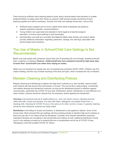There should be sufficient hand washing stations (sinks and/or alcohol-based hand sanitizer) to enable students/children to easily clean their hands as required. Staff should increase monitoring of hand washing supplies and refill as necessary. Schools and child care settings should also ensure that:

- Sufficient tissue supplies and no-touch, plastic-lined waste receptacles are placed to support respiratory etiquette recommendations.
- Young children are supervised and assisted in hand hygiene at teacher/caregiver discretion, to ensure hand washing is done thoroughly.
- Administration and staff are reminded that Material Safety Data Sheets and product labels provide additional information regarding placement, storage and warnings associated with alcohol based hand sanitizers.

#### The Use of Masks in School/Child Care Settings Is Not Recommended

Masks may help people with symptoms reduce their risk of spreading the virus through droplets produced when coughing or sneezing. **However, children/staff who have symptoms should be kept away /stay at home from school/child care rather than relying on masks.**

Masks are not necessary for people who are not experiencing symptoms (WHO, 2020). Children may find masks irritating, and this may increase touching of the face and eyes, which increases the risk of infection.

#### Maintain Cleaning and Disinfecting Policies

Regular cleaning and disinfecting of objects and high-touch surfaces (e.g. door handles, water fountain push buttons) will help prevent the transmission of viruses. This can be done using existing school/child care setting cleaning and disinfection protocols, as long as the disinfectant product is effective against coronaviruses, particularly the COVID-19 virus (see "Disinfection" below). Disinfection is most effective on a clean surface; surfaces should be cleaned first, as necessary, before applying the disinfectant.

**Cleaning** is the physical removal of visible soiling (e.g., dust, soil, blood, mucus). Cleaning removes, rather than kills, viruses and bacteria. It is done with water, detergents, and steady friction from a cleaning cloth. *Cleaning for COVID-19 virus is the same as for other common viruses.* In general, cleaning should be done whenever surfaces are visibly soiled.

**Disinfection** is the killing of viruses and bacteria. A disinfectant is only applied to objects; never on the human body. Most schools/child care settings will have existing policies to disinfect high-touch surfaces at least once per day; if not, these should be developed. Consider more frequent disinfection whenever respiratory illnesses are circulating in the school/child care setting. As well, additional disinfection should occur in any settings occupied by a student/child who is symptomatic and at risk of COVID-19 (see "Managing a child with possible COVID-19" below).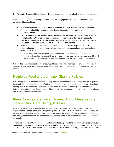See **Appendix C** for specific guidance on disinfection products that are effective against coronaviruses.

Consider cleaning and disinfecting practices in the following specific circumstances encountered in schools/child care settings:

- *Musical instruments*: Students/children should have their own mouthpieces for instruments. Mouthpieces should be cleaned and disinfected as per standard practices recommended for the instrument.
- *Toys*: Schools/child care settings should have toys that are easily cleaned and disinfected (e.g. avoid plush toys). Consider increasing frequency of cleaning and disinfection, especially if symptomatic students/children have been playing with the toys. Immediately remove toys that have been contaminated until they have been cleaned and disinfected.
- *Water fountains*: The mouthpieces of drinking fountains are not a major source of virus transmission and require only regular cleaning according to manufacturer recommendations (Pacific Institute, 2017).
	- Water fountain knobs and push buttons should be considered high-touch surfaces, and regularly cleaned and disinfected. Consideration can be given to having students/children fill water bottles rather than having them drink directly from the mouthpiece of the fountain.

School/child care administrators are encouraged to review existing activities and practices within their settings to help determine where and when enhancements or increased cleaning frequencies may be needed.

#### Reinforce Food and Container Sharing Policies

It will be important to reinforce "no food sharing" policies in school/child care settings. Though in general, these policies are put in place in an effort to reduce potential exposures to allergens, the practice of not sharing food in the school/child care setting will support the efforts of reducing virus transmission between students/children. Students and children should also be supported not to share utensils, dishes, and water bottles/drink containers.

#### Keep Parents/Caregivers Informed About Measures the School/Child Care Setting Is Taking

Parents/caregivers will be a major source of comfort and reassurance to their children. It will be important for the school/child care setting to keep parents/caregivers informed of what they are doing to protect students/children including how they are preventing the spread of respiratory infections. Messages and strategies should reflect the diverse linguistic, literacy and cultural characteristics and needs of the community.

If there are cases of COVID-19 identified within school settings, the Zone MOH will work directly with the school/child care facility to provide follow-up recommendations and messaging for staff, parents/caregivers and students. It is important for the school/child care facility to ensure that they collaborate with the Zone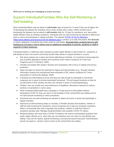MOH prior to sending any messaging to ensure accuracy.

### Support Individuals/Families Who Are Self-Monitoring or Self-Isolating

Some students/children may be asked to **self-isolate** (stay at home) for 14 days if they are at higher risk of developing the disease (for example, due to close contact with a case). Others at lower risk of developing the disease may be asked to **self-monitor** daily for 14 days for symptoms, and alert public health officials if they do develop symptoms. Individuals who are self-monitoring are allowed to attend and work in school and participate in regular activities. The website [COVID-19 Info for Albertans](https://www.alberta.ca/coronavirus-info-for-albertans.aspx)  [\(https://www.alberta.ca/coronavirus-info-for-albertans.aspx\)](https://www.alberta.ca/coronavirus-info-for-albertans.aspx) contains up to date information '**For Schools'** on which categories of students have been asked to self-isolate. **Asymptomatic contacts that are selfisolating do not pose a risk to others and no additional messaging to parents, students or staff is required in these instances.**

If students/children or staff have been advised by public health officials to self-monitor for symptoms or self-isolate at home, the school community should make efforts to support families to ensure:

- Sick leave policies are in place and school attendance is flexible. It is important to discourage the use of perfect attendance awards and incentives (CDC Interim Guidance for Child Care Programs and K-12 Schools, 2020).
- Families are treated with respect, fairness and compassion with a focus on dignity and privacy protection.
- Steps are taken to reduce the potential for stigma and discrimination (e.g., through outreach, information sharing and school/board level education) (CDC Interim Guidance for Travelassociated or Community Settings, 2020).
- If students are self-isolating at home and they are well enough to participate in homework, measures are in place to provide meaningful homework. This will support students so they do not fall behind in their studies and they can maintain a sense of meaning/belonging.
- Children who are unwell may need extensions of deadlines, alternative measures to reduce burdens or exemptions in some cases.
- When students/children/staff have completed a 14-day period of self-isolation without developing COVID-19, they can return to full activities in their school/child care setting and do not need special monitoring or other procedures.
- Individuals who are self-monitoring are allowed to attend and work in school and participate in regular activities.
- Disclosure of self-monitoring status is voluntary. If families disclose that students, children or staff are self-monitoring for symptoms, ensure measures are in place to recognize symptoms while in school/child care and to separate sick students, children or staff from others if symptoms develop (see "Manage students/children with possible COVID-19" below).
- Students/children who have had a COVID-19 infection will receive individualized guidance from public health officials as to when they are non-infectious and can return to school/child care setting. They will not require special monitoring or procedures beyond that point. Administrators should not require a doctor's note to return to the school/child care setting.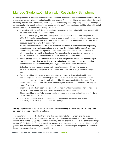### Manage Students/Children with Respiratory Symptoms

Parents/guardians of students/children should be informed that there is zero tolerance for children with any respiratory symptoms attending school or child care centres. Teachers/child care providers should be asked to closely monitor their classrooms, and if any student is having respiratory symptoms such as cough or symptoms of a mild cold, the steps below should be followed. The same steps should be followed if a staff member begins to experience respiratory symptoms.

- If a student, child or staff develops respiratory symptoms while at school/child care, they should be removed from the school environment.
- Schools/child care programs promptly separate the student/child or staff with symptoms of COVID-19 (e.g. fever, cough, sore throat, shortness of breath, fatigue, headache, muscle aches, and including symptoms that may seem like a mild cold) in an area separate from others, with adequate supervision until they can go home.
- To help prevent transmission, **the most important steps are to reinforce strict respiratory etiquette and hand hygiene practices and to have the ill student/child or staff stay two meters away from others.** If possible, the student should be placed in a separate room from other students/children with a closed door. Any rooms they have been in while symptomatic should be cleaned and disinfected before others enter them (see **Appendix C**).
- Masks provide a level of protection when worn by a symptomatic person. It is acknowledged that it is neither practical nor feasible to have schools procure masks at this time, therefore adhere to strict respiratory etiquette, hand hygiene and cleaning and disinfection.
- Schools/child care programs should notify parents/guardians if their child begins to experience respiratory symptoms while at school/child care, and arrange for immediate pick up.
- Students/children who begin to show respiratory symptoms while at school or child care should be picked up by their parent/guardian and avoid travel on public transport such as school buses or trains. If no alternative is possible, it is recommended that the student/child sits on a seat by themselves (two metre separation) and wears an appropriately sized surgical mask, if available.
- Clean and disinfect any rooms the student/child was in while symptomatic. There is no need to take any further special precautions or to close the school/child care setting.
- Students/children or staff who develop respiratory symptoms should be kept home for 14 days after the start of the symptoms.
- If students/children are tested for COVID-19, those who test negative will be advised individually about return to school/child care settings.

Since younger children may not always be able or willing to identify or disclose symptoms, they should be closely monitored by staff for symptoms.

It is important for school/school authority and child care administrators to understand the usual absenteeism patterns of their school/child care centre (CDC Interim Guidance in Travel-associated or Community Settings, 2020). As per routine monitoring and surveillance in schools and child care settings, notify AHS Public Health of unusual situations, such as when absenteeism of students/children or staff is greater than would be expected, or if a student/child who is self-monitoring for symptoms of COVID-19 becomes symptomatic while at school/child care.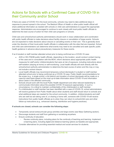#### Actions for Schools with a Confirmed Case of COVID-19 in their Community and/or School

If there are cases of COVID-19 in the local community, schools may need to take additional steps in response to prevent spread in the school. The Medical Officer of Health or other public health official will share additional information as needed with schools or child care administrators to support the appropriate response. Administrators are encouraged to continue to work closely with local public health officials to determine the best course of action for their child care programs or schools.

Child care and school/school authority administrators should work in close collaboration and coordination with public health officials to make decisions about facility closure or cancellation of large events. Schools are not expected to make decisions about closure or cancelling events on their own. This is generally done under the direction of their local public health officials in collaboration with the sites that are impacted. School and child care administrators can determine what events may need to be cancelled and seek specific public health guidance in advance about precautionary measures for these events.

If an ill student or staff member attended school prior to being confirmed as a COVID-19 case:

- AHS or ISC-FNIHB public health officials, depending on the location, would conduct contact tracing of the case and in consultation with the MOH, inform decisions about appropriate public health measures for staff and/or children/students that were at risk of exposure, including instructions about self-isolation (staying at home) or self-monitoring. Local health officials will work directly with the school/school authority administration to determine the best course of action and this may or may not include a school closure.
- Local health officials may recommend temporary school dismissals if a student or staff member attended school prior to being confirmed as a COVID-19 case. Public Health recommendations for the scope (e.g., a single school, a full district) and duration of school dismissals will be made on a case-by-case basis based on the most up-to-date information about COVID-19 and information about cases in the affected community.
- Schools should work with the local Public Health department and other relevant leadership to communicate information about the possible COVID-19 exposure appropriately. In such a circumstance, it is critical to maintain confidentiality of the child/student or staff member.
- If a child/student or staff member has been identified with a case of COVID-19, school administrators will receive guidance from Public Health about when students and staff should return to schools and what additional steps are needed for the school community. In addition, children/students and staff who are well but are taking care of, or sharing a home with, someone with COVID-19 will receive instructions from public health officials as to when they can return to school/child care and other follow-up instructions (e.g., enhanced cleaning, disinfection and hygiene practices).

#### **If schools are closed, schools can consider the following steps:**

- Temporarily cancel extracurricular group activities and large events (see Mass Gathering section).
- Discourage students and staff from gathering or socializing anywhere.
- Ensure continuity of education.
	- Review continuity plans, including plans for the continuity of teaching and learning. Implement e-learning plans, including digital and distance learning options as feasible and appropriate.
- Consider alternatives for providing essential medical and social services for students.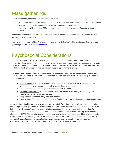## Mass gatherings

Until further notice, the following events should be cancelled:

- Events with more than 50 attendees that involve international participants, critical infrastructure staff, seniors, or other high-risk populations, such as immune-compromised.
- Large events with more than 250 attendees, including sporting events, conferences and community events.

School and child care administrators should take steps to ensure that no more than 250 people are in the same room at any given time.

For the latest updates on Mass Gathering restrictions, refer to the tab "Public health restrictions on mass gatherings" at [COVID-19 Info for Albertans.](https://www.alberta.ca/coronavirus-info-for-albertans.aspx)

## Psychosocial Considerations

A new virus such as the COVID-19 can create anxiety and be difficult for students/children to understand, especially if someone in their school or family is sick, or they see or hear troubling messages on the radio, internet or television. It is normal for students/children to feel worried or nervous and have questions. All staff in schools/child care settings can support students by doing the following:

**Reassure students/children** about their personal safety and health. Telling students/children that it is okay to be concerned is comforting. Reassure them they are safe and there are many things they can do to stay healthy:

- Hand washing: Wash hands often with soap and warm water for at least 20 seconds, or use an alcohol based hand sanitizer, especially after coughing or sneezing.
- Cough/sneeze etiquette: Cough and sneeze into arm or tissue.
- Stay home when sick: Students/children should tell parents if not feeling well, and together, make a plan to stay home from school.
- Keep clean: Keep hands away from face and mouth.
- Stay healthy: Stay healthy by eating healthy foods, keeping physically active, getting enough sleep.

**Listen to students/children and provide age-appropriate information**. Let them know they can talk about their feelings and ask questions. Answer questions honestly but make sure that the information is suitable for their age level. If you don't know the answers to their questions it's okay to say so and together look for resources that can answer their questions. Remember students/children are often listening when you talk to others about COVID-19. Administrators and staff should be mindful of how students/children share information in less supervised settings (e.g., before and after school, lunch and snack times, recess and on the bus). It may be in these settings where students/children can become misinformed. It will be important for administrators and staff to correct this misinformation when they are made aware of it.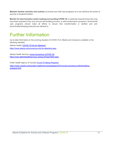**Maintain familiar activities and routines** at schools and child care programs as it can reinforce the sense of security of students/children.

**Monitor for discrimination and/or bullying surrounding COVID-19,** in particular towards those who may have been exposed to the virus and are self-isolating at home, or self-monitoring for symptoms. School/child care programs should make all efforts to ensure that misinformation is clarified and antidiscrimination/bullying protocols are adhered to.

## Further Information

Up-to-date information on the evolving situation of COVID-19 in Alberta and Canada is available on the following websites:

Alberta Health [\(COVID-19 Info for Albertans\)](https://www.alberta.ca/coronavirus-info-for-albertans.aspx) <https://www.alberta.ca/coronavirus-info-for-albertans.aspx>

Alberta Health Services [\(novel coronavirus \(COVID-19\)](https://www.albertahealthservices.ca/topics/Page16944.aspx) <https://www.albertahealthservices.ca/topics/Page16944.aspx>

Public Health Agency of Canada [\(Covid-19: Being Prepared\)](https://www.canada.ca/en/public-health/services/diseases/2019-novel-coronavirus-infection/being-prepared.html)

[https://www.canada.ca/en/public-health/services/diseases/2019-novel-coronavirus-infection/being](https://www.canada.ca/en/public-health/services/diseases/2019-novel-coronavirus-infection/being-prepared.html)[prepared.html](https://www.canada.ca/en/public-health/services/diseases/2019-novel-coronavirus-infection/being-prepared.html)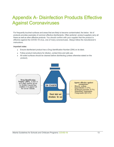## Appendix A- Disinfection Products Effective Against Coronaviruses

For frequently touched surfaces and areas that are likely to become contaminated, the below list of products provides examples of common effective disinfectants. Often janitorial product suppliers carry all these as well as other effective products. You should confirm with your supplier that the product is effective against the COVID-19 virus, one of many conoraviruses. *Always follow the manufacturer's instructions.*

Important notes:

- Ensure disinfectant product has a Drug Identification Number (DIN) on its label.
- Follow product instructions for dilution, contact time and safe use.
- All soiled surfaces should be cleaned before disinfecting (unless otherwise stated on the product).

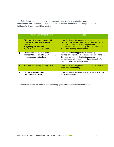List of disinfecting agents and their working concentrations known to be effective against coronaviruses (Dellanno *et al*., 2009; Alberta's IPC Guidelines- when available; European Interim Guidance for Environmental Cleaning, 2020)

|    | <b>Agent and Concentration</b>                                                                                                              | <b>Uses</b>                                                                                                                                                                                                                                               |
|----|---------------------------------------------------------------------------------------------------------------------------------------------|-----------------------------------------------------------------------------------------------------------------------------------------------------------------------------------------------------------------------------------------------------------|
| 1. | <b>Chlorine: Unscented household</b><br>bleach - sodium hypochlorite<br>(5.25%)<br>1:9 (5000 ppm solution)<br>100 ml bleach to 900 ml water | Used for disinfecting general surfaces, e.g., hand<br>railings, grab handles, door knobs, cupboard handles.<br>Can also be used for disinfecting surfaces<br>contaminated with blood/bodily fluids, but only after<br>cleaning with soap and water first. |
| 2. | Disinfectant with a Drug Identification<br>Number AND a Virucidal Claim. Follow<br>manufacturer's instructions                              | Used for disinfecting general surfaces e.g., hand<br>railings, grab handles, door knobs, cupboard handles.<br>Can also be used for disinfecting surfaces<br>contaminated with blood/bodily fluids, but only after<br>cleaning with soap and water first.  |
| 3. | <b>Accelerated Hydrogen Peroxide 0.5%</b>                                                                                                   | Used for disinfecting general surfaces (e.g. counters,<br>hand rails, door knobs).                                                                                                                                                                        |
| 4. | <b>Quaternary Ammonium</b><br><b>Compounds (QUATs)</b>                                                                                      | Used for disinfecting of general surfaces (e.g., floors,<br>walls, furnishings).                                                                                                                                                                          |

*Alberta Health does not endorse or promote any specific brands of disinfectant products.*